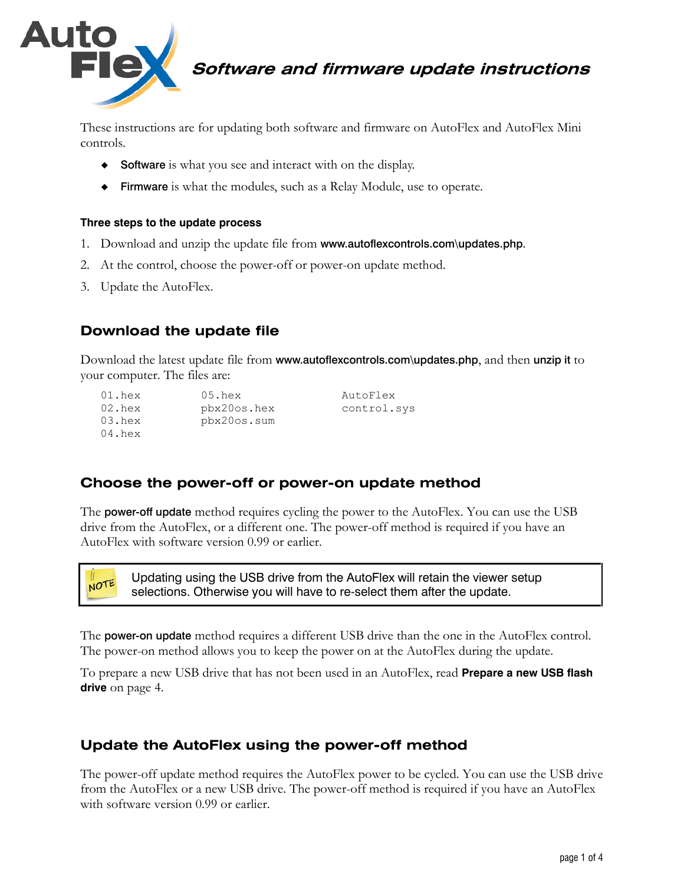

**Software and firmware update instructions** 

These instructions are for updating both software and firmware on AutoFlex and AutoFlex Mini controls.

- Software is what you see and interact with on the display.
- Firmware is what the modules, such as a Relay Module, use to operate.

#### **Three steps to the update process**

- 1. Download and unzip the update file from www.autoflexcontrols.com\updates.php.
- 2. At the control, choose the power-off or power-on update method.
- 3. Update the AutoFlex.

# **Download the update file**

Download the latest update file from [www.autoflexcontrols.com\updates.php](http://www.autoflexcontrols.com/updates.php), and then unzip it to your computer. The files are:

| $01.$ hex | $05.$ hex   | AutoFlex    |
|-----------|-------------|-------------|
| $02.$ hex | pbx20os.hex | control.sys |
| $03.$ hex | pbx20os.sum |             |
| $04.$ hex |             |             |

#### **Choose the power-off or power-on update method**

The power-off update method requires cycling the power to the AutoFlex. You can use the USB drive from the AutoFlex, or a different one. The power-off method is required if you have an AutoFlex with software version 0.99 or earlier.

Updating using the USB drive from the AutoFlex will retain the viewer setup selections. Otherwise you will have to re-select them after the update.

The **power-on update** method requires a different USB drive than the one in the AutoFlex control. The power-on method allows you to keep the power on at the AutoFlex during the update.

To prepare a new USB drive that has not been used in an AutoFlex, read **[Prepare a new USB flash](#page-2-0)  [drive](#page-2-0)** on page [4.](#page-2-0)

#### <span id="page-0-0"></span>**Update the AutoFlex using the power-off method**

The power-off update method requires the AutoFlex power to be cycled. You can use the USB drive from the AutoFlex or a new USB drive. The power-off method is required if you have an AutoFlex with software version 0.99 or earlier.

NOTE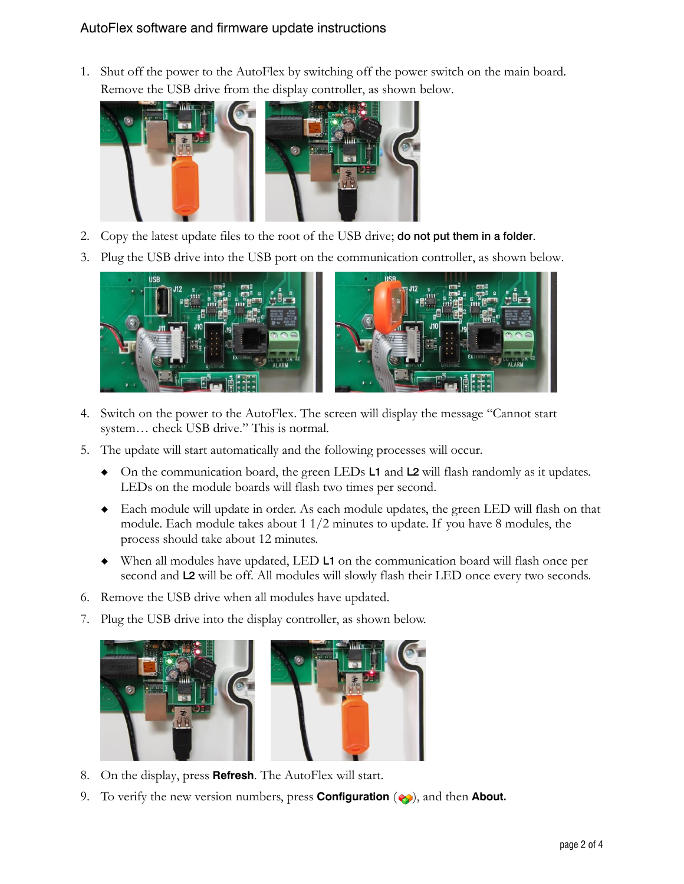## AutoFlex software and firmware update instructions

1. Shut off the power to the AutoFlex by switching off the power switch on the main board. Remove the USB drive from the display controller, as shown below.



- 2. Copy the latest update files to the root of the USB drive; do not put them in a folder.
- 3. Plug the USB drive into the USB port on the communication controller, as shown below.



- 4. Switch on the power to the AutoFlex. The screen will display the message "Cannot start system… check USB drive." This is normal.
- 5. The update will start automatically and the following processes will occur.
	- On the communication board, the green LEDs L1 and L2 will flash randomly as it updates. LEDs on the module boards will flash two times per second.
	- Each module will update in order. As each module updates, the green LED will flash on that module. Each module takes about 1 1/2 minutes to update. If you have 8 modules, the process should take about 12 minutes.
	- When all modules have updated, LED L1 on the communication board will flash once per second and L2 will be off. All modules will slowly flash their LED once every two seconds.
- 6. Remove the USB drive when all modules have updated.
- 7. Plug the USB drive into the display controller, as shown below.



- 8. On the display, press **Refresh**. The AutoFlex will start.
- 9. To verify the new version numbers, press **Configuration** ( $\diamondsuit$ ), and then **About.**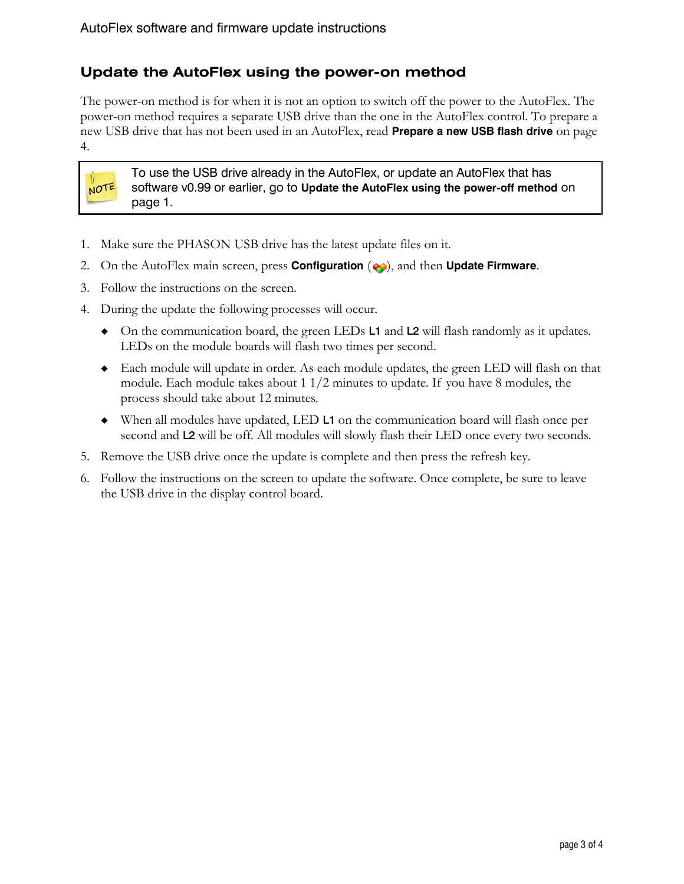# **Update the AutoFlex using the power-on method**

The power-on method is for when it is not an option to switch off the power to the AutoFlex. The power-on method requires a separate USB drive than the one in the AutoFlex control. To prepare a new USB drive that has not been used in an AutoFlex, read **[Prepare a new USB flash drive](#page-3-0)** on page [4.](#page-3-0)

#### To use the USB drive already in the AutoFlex, or update an AutoFlex that has software v0.99 or earlier, go to **[Update the AutoFlex using the power-off method](#page-0-0)** on page [1.](#page-0-0)

- 1. Make sure the PHASON USB drive has the latest update files on it.
- 2. On the AutoFlex main screen, press **Configuration** ( $\diamondsuit$ ), and then **Update Firmware**.
- 3. Follow the instructions on the screen.

NOTE

- 4. During the update the following processes will occur.
	- On the communication board, the green LEDs L1 and L2 will flash randomly as it updates. LEDs on the module boards will flash two times per second.
	- Each module will update in order. As each module updates, the green LED will flash on that module. Each module takes about  $1/2$  minutes to update. If you have 8 modules, the process should take about 12 minutes.
	- When all modules have updated, LED L1 on the communication board will flash once per second and L2 will be off. All modules will slowly flash their LED once every two seconds.
- 5. Remove the USB drive once the update is complete and then press the refresh key.
- <span id="page-2-0"></span>6. Follow the instructions on the screen to update the software. Once complete, be sure to leave the USB drive in the display control board.